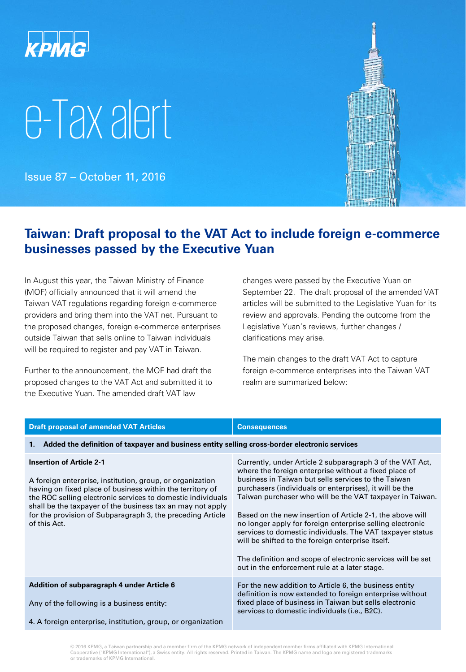

# e-Tax alert

Issue 87 – October 11, 2016



### **Taiwan: Draft proposal to the VAT Act to include foreign e-commerce businesses passed by the Executive Yuan**

In August this year, the Taiwan Ministry of Finance (MOF) officially announced that it will amend the Taiwan VAT regulations regarding foreign e-commerce providers and bring them into the VAT net. Pursuant to the proposed changes, foreign e-commerce enterprises outside Taiwan that sells online to Taiwan individuals will be required to register and pay VAT in Taiwan.

Further to the announcement, the MOF had draft the proposed changes to the VAT Act and submitted it to the Executive Yuan. The amended draft VAT law

changes were passed by the Executive Yuan on September 22. The draft proposal of the amended VAT articles will be submitted to the Legislative Yuan for its review and approvals. Pending the outcome from the Legislative Yuan's reviews, further changes / clarifications may arise.

The main changes to the draft VAT Act to capture foreign e-commerce enterprises into the Taiwan VAT realm are summarized below:

| <b>Draft proposal of amended VAT Articles</b>                                                                                                                                                                                                                                                                                                                        | <b>Consequences</b>                                                                                                                                                                                                                                                                                                                                                                                                                                                                                                                                                                                                                                          |  |
|----------------------------------------------------------------------------------------------------------------------------------------------------------------------------------------------------------------------------------------------------------------------------------------------------------------------------------------------------------------------|--------------------------------------------------------------------------------------------------------------------------------------------------------------------------------------------------------------------------------------------------------------------------------------------------------------------------------------------------------------------------------------------------------------------------------------------------------------------------------------------------------------------------------------------------------------------------------------------------------------------------------------------------------------|--|
| Added the definition of taxpayer and business entity selling cross-border electronic services<br>1.                                                                                                                                                                                                                                                                  |                                                                                                                                                                                                                                                                                                                                                                                                                                                                                                                                                                                                                                                              |  |
| <b>Insertion of Article 2-1</b><br>A foreign enterprise, institution, group, or organization<br>having on fixed place of business within the territory of<br>the ROC selling electronic services to domestic individuals<br>shall be the taxpayer of the business tax an may not apply<br>for the provision of Subparagraph 3, the preceding Article<br>of this Act. | Currently, under Article 2 subparagraph 3 of the VAT Act,<br>where the foreign enterprise without a fixed place of<br>business in Taiwan but sells services to the Taiwan<br>purchasers (individuals or enterprises), it will be the<br>Taiwan purchaser who will be the VAT taxpayer in Taiwan.<br>Based on the new insertion of Article 2-1, the above will<br>no longer apply for foreign enterprise selling electronic<br>services to domestic individuals. The VAT taxpayer status<br>will be shifted to the foreign enterprise itself.<br>The definition and scope of electronic services will be set<br>out in the enforcement rule at a later stage. |  |
| Addition of subparagraph 4 under Article 6<br>Any of the following is a business entity:<br>4. A foreign enterprise, institution, group, or organization                                                                                                                                                                                                             | For the new addition to Article 6, the business entity<br>definition is now extended to foreign enterprise without<br>fixed place of business in Taiwan but sells electronic<br>services to domestic individuals (i.e., B2C).                                                                                                                                                                                                                                                                                                                                                                                                                                |  |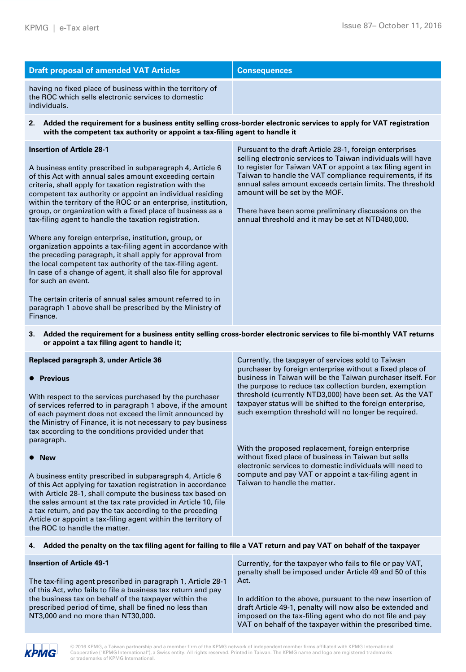| <b>Draft proposal of amended VAT Articles</b>                                                                                                                                                                                                                                                                                                                                                                                                                                                                                                                                                                                                                                                                                                                                                                                                                                                                                                            | <b>Consequences</b>                                                                                                                                                                                                                                                                                                                                                                                                                                          |  |
|----------------------------------------------------------------------------------------------------------------------------------------------------------------------------------------------------------------------------------------------------------------------------------------------------------------------------------------------------------------------------------------------------------------------------------------------------------------------------------------------------------------------------------------------------------------------------------------------------------------------------------------------------------------------------------------------------------------------------------------------------------------------------------------------------------------------------------------------------------------------------------------------------------------------------------------------------------|--------------------------------------------------------------------------------------------------------------------------------------------------------------------------------------------------------------------------------------------------------------------------------------------------------------------------------------------------------------------------------------------------------------------------------------------------------------|--|
| having no fixed place of business within the territory of<br>the ROC which sells electronic services to domestic<br>individuals.                                                                                                                                                                                                                                                                                                                                                                                                                                                                                                                                                                                                                                                                                                                                                                                                                         |                                                                                                                                                                                                                                                                                                                                                                                                                                                              |  |
| Added the requirement for a business entity selling cross-border electronic services to apply for VAT registration<br>2.<br>with the competent tax authority or appoint a tax-filing agent to handle it                                                                                                                                                                                                                                                                                                                                                                                                                                                                                                                                                                                                                                                                                                                                                  |                                                                                                                                                                                                                                                                                                                                                                                                                                                              |  |
| <b>Insertion of Article 28-1</b><br>A business entity prescribed in subparagraph 4, Article 6<br>of this Act with annual sales amount exceeding certain<br>criteria, shall apply for taxation registration with the<br>competent tax authority or appoint an individual residing<br>within the territory of the ROC or an enterprise, institution,<br>group, or organization with a fixed place of business as a<br>tax-filing agent to handle the taxation registration.<br>Where any foreign enterprise, institution, group, or<br>organization appoints a tax-filing agent in accordance with<br>the preceding paragraph, it shall apply for approval from<br>the local competent tax authority of the tax-filing agent.<br>In case of a change of agent, it shall also file for approval<br>for such an event.<br>The certain criteria of annual sales amount referred to in<br>paragraph 1 above shall be prescribed by the Ministry of<br>Finance. | Pursuant to the draft Article 28-1, foreign enterprises<br>selling electronic services to Taiwan individuals will have<br>to register for Taiwan VAT or appoint a tax filing agent in<br>Taiwan to handle the VAT compliance requirements, if its<br>annual sales amount exceeds certain limits. The threshold<br>amount will be set by the MOF.<br>There have been some preliminary discussions on the<br>annual threshold and it may be set at NTD480,000. |  |
| hdded the requirement for a business entity selling aress berder electronic sensiess to file bi menthly VAT returns.                                                                                                                                                                                                                                                                                                                                                                                                                                                                                                                                                                                                                                                                                                                                                                                                                                     |                                                                                                                                                                                                                                                                                                                                                                                                                                                              |  |

#### **3. Added the requirement for a business entity selling cross-border electronic services to file bi-monthly VAT returns or appoint a tax filing agent to handle it;**

| Replaced paragraph 3, under Article 36<br><b>Previous</b><br>With respect to the services purchased by the purchaser<br>of services referred to in paragraph 1 above, if the amount<br>of each payment does not exceed the limit announced by<br>the Ministry of Finance, it is not necessary to pay business<br>tax according to the conditions provided under that                                                                 | Currently, the taxpayer of services sold to Taiwan<br>purchaser by foreign enterprise without a fixed place of<br>business in Taiwan will be the Taiwan purchaser itself. For<br>the purpose to reduce tax collection burden, exemption<br>threshold (currently NTD3,000) have been set. As the VAT<br>taxpayer status will be shifted to the foreign enterprise,<br>such exemption threshold will no longer be required. |
|--------------------------------------------------------------------------------------------------------------------------------------------------------------------------------------------------------------------------------------------------------------------------------------------------------------------------------------------------------------------------------------------------------------------------------------|---------------------------------------------------------------------------------------------------------------------------------------------------------------------------------------------------------------------------------------------------------------------------------------------------------------------------------------------------------------------------------------------------------------------------|
| paragraph.                                                                                                                                                                                                                                                                                                                                                                                                                           | With the proposed replacement, foreign enterprise<br>without fixed place of business in Taiwan but sells                                                                                                                                                                                                                                                                                                                  |
| <b>New</b><br>A business entity prescribed in subparagraph 4, Article 6<br>of this Act applying for taxation registration in accordance<br>with Article 28-1, shall compute the business tax based on<br>the sales amount at the tax rate provided in Article 10, file<br>a tax return, and pay the tax according to the preceding<br>Article or appoint a tax-filing agent within the territory of<br>the ROC to handle the matter. | electronic services to domestic individuals will need to<br>compute and pay VAT or appoint a tax-filing agent in<br>Taiwan to handle the matter.                                                                                                                                                                                                                                                                          |

#### **4. Added the penalty on the tax filing agent for failing to file a VAT return and pay VAT on behalf of the taxpayer**

| <b>Insertion of Article 49-1</b>                                                                                                                      | Currently, for the taxpayer who fails to file or pay VAT,<br>penalty shall be imposed under Article 49 and 50 of this                                                              |
|-------------------------------------------------------------------------------------------------------------------------------------------------------|------------------------------------------------------------------------------------------------------------------------------------------------------------------------------------|
| The tax-filing agent prescribed in paragraph 1, Article 28-1<br>of this Act, who fails to file a business tax return and pay                          | Act.                                                                                                                                                                               |
| the business tax on behalf of the taxpayer within the<br>prescribed period of time, shall be fined no less than<br>NT3,000 and no more than NT30,000. | In addition to the above, pursuant to the new insertion of<br>draft Article 49-1, penalty will now also be extended and<br>imposed on the tax-filing agent who do not file and pay |
|                                                                                                                                                       | VAT on behalf of the taxpayer within the prescribed time.                                                                                                                          |

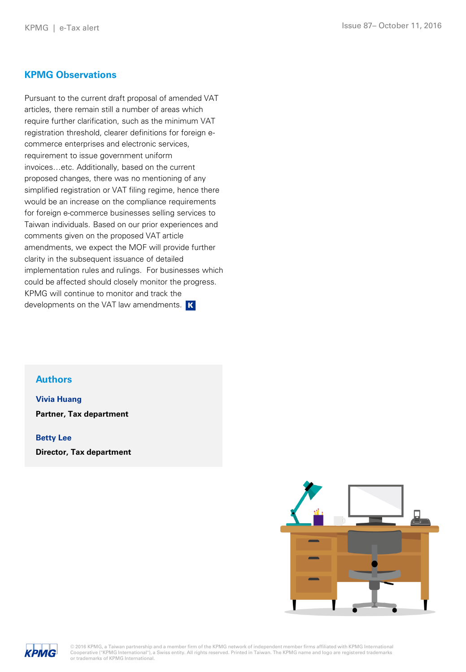#### **KPMG Observations**

Pursuant to the current draft proposal of amended VAT articles, there remain still a number of areas which require further clarification, such as the minimum VAT registration threshold, clearer definitions for foreign ecommerce enterprises and electronic services, requirement to issue government uniform invoices…etc. Additionally, based on the current proposed changes, there was no mentioning of any simplified registration or VAT filing regime, hence there would be an increase on the compliance requirements for foreign e-commerce businesses selling services to Taiwan individuals. Based on our prior experiences and comments given on the proposed VAT article amendments, we expect the MOF will provide further clarity in the subsequent issuance of detailed implementation rules and rulings. For businesses which could be affected should closely monitor the progress. KPMG will continue to monitor and track the developments on the VAT law amendments. K

#### **Authors**

**Vivia Huang**

**Partner, Tax department**

**Betty Lee**

**Director, Tax department**